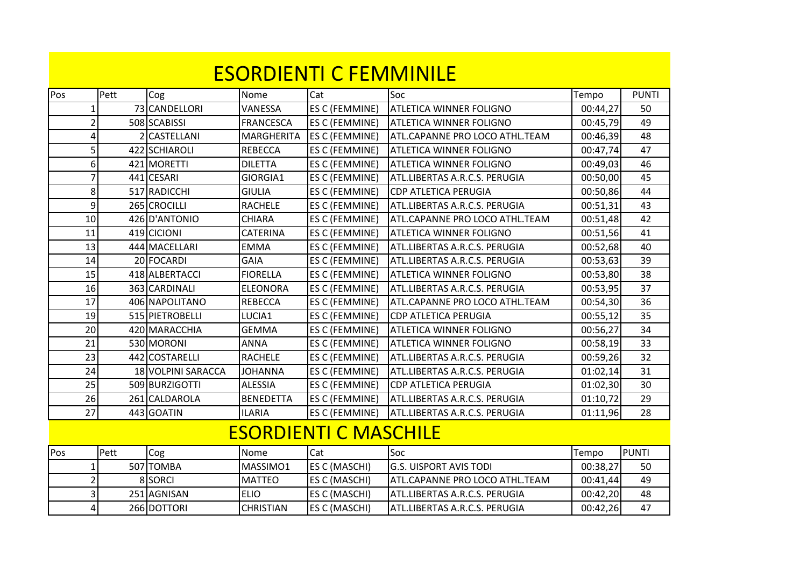|                |      |                    |                   | <b>ESORDIENTI C FEMMINILE</b> |                                       |          |              |
|----------------|------|--------------------|-------------------|-------------------------------|---------------------------------------|----------|--------------|
| Pos            | Pett | Cog                | Nome              | Cat                           | Soc                                   | Tempo    | <b>PUNTI</b> |
| 1              |      | 73 CANDELLORI      | VANESSA           | ES C (FEMMINE)                | <b>ATLETICA WINNER FOLIGNO</b>        | 00:44,27 | 50           |
| $\overline{2}$ |      | 508 SCABISSI       | <b>FRANCESCA</b>  | ES C (FEMMINE)                | <b>ATLETICA WINNER FOLIGNO</b>        | 00:45,79 | 49           |
| 4              |      | 2 CASTELLANI       | <b>MARGHERITA</b> | ES C (FEMMINE)                | <b>ATL.CAPANNE PRO LOCO ATHL.TEAM</b> | 00:46,39 | 48           |
| 5              |      | 422 SCHIAROLI      | <b>REBECCA</b>    | ES C (FEMMINE)                | <b>ATLETICA WINNER FOLIGNO</b>        | 00:47,74 | 47           |
| 6              |      | 421 MORETTI        | <b>DILETTA</b>    | ES C (FEMMINE)                | <b>ATLETICA WINNER FOLIGNO</b>        | 00:49,03 | 46           |
| $\overline{7}$ |      | 441 CESARI         | GIORGIA1          | ES C (FEMMINE)                | ATL.LIBERTAS A.R.C.S. PERUGIA         | 00:50,00 | 45           |
| 8              |      | 517 RADICCHI       | <b>GIULIA</b>     | ES C (FEMMINE)                | <b>CDP ATLETICA PERUGIA</b>           | 00:50,86 | 44           |
| 9              |      | 265 CROCILLI       | <b>RACHELE</b>    | ES C (FEMMINE)                | ATL.LIBERTAS A.R.C.S. PERUGIA         | 00:51,31 | 43           |
| 10             |      | 426 D'ANTONIO      | <b>CHIARA</b>     | ES C (FEMMINE)                | ATL.CAPANNE PRO LOCO ATHL.TEAM        | 00:51,48 | 42           |
| 11             |      | 419 CICIONI        | <b>CATERINA</b>   | ES C (FEMMINE)                | <b>ATLETICA WINNER FOLIGNO</b>        | 00:51,56 | 41           |
| 13             |      | 444 MACELLARI      | <b>EMMA</b>       | ES C (FEMMINE)                | ATL.LIBERTAS A.R.C.S. PERUGIA         | 00:52,68 | 40           |
| 14             |      | 20 FOCARDI         | <b>GAIA</b>       | ES C (FEMMINE)                | ATL.LIBERTAS A.R.C.S. PERUGIA         | 00:53,63 | 39           |
| 15             |      | 418 ALBERTACCI     | <b>FIORELLA</b>   | ES C (FEMMINE)                | <b>ATLETICA WINNER FOLIGNO</b>        | 00:53,80 | 38           |
| 16             |      | 363 CARDINALI      | <b>ELEONORA</b>   | ES C (FEMMINE)                | ATL.LIBERTAS A.R.C.S. PERUGIA         | 00:53,95 | 37           |
| 17             |      | 406 NAPOLITANO     | <b>REBECCA</b>    | ES C (FEMMINE)                | ATL.CAPANNE PRO LOCO ATHL.TEAM        | 00:54,30 | 36           |
| 19             |      | 515 PIETROBELLI    | LUCIA1            | ES C (FEMMINE)                | <b>CDP ATLETICA PERUGIA</b>           | 00:55,12 | 35           |
| 20             |      | 420 MARACCHIA      | <b>GEMMA</b>      | ES C (FEMMINE)                | <b>ATLETICA WINNER FOLIGNO</b>        | 00:56,27 | 34           |
| 21             |      | 530 MORONI         | <b>ANNA</b>       | ES C (FEMMINE)                | <b>ATLETICA WINNER FOLIGNO</b>        | 00:58,19 | 33           |
| 23             |      | 442 COSTARELLI     | <b>RACHELE</b>    | ES C (FEMMINE)                | ATL.LIBERTAS A.R.C.S. PERUGIA         | 00:59,26 | 32           |
| 24             |      | 18 VOLPINI SARACCA | <b>JOHANNA</b>    | ES C (FEMMINE)                | ATL.LIBERTAS A.R.C.S. PERUGIA         | 01:02,14 | 31           |
| 25             |      | 509 BURZIGOTTI     | <b>ALESSIA</b>    | ES C (FEMMINE)                | <b>CDP ATLETICA PERUGIA</b>           | 01:02,30 | 30           |
| 26             |      | 261 CALDAROLA      | <b>BENEDETTA</b>  | ES C (FEMMINE)                | ATL.LIBERTAS A.R.C.S. PERUGIA         | 01:10,72 | 29           |
| 27             |      | 443 GOATIN         | <b>ILARIA</b>     | ES C (FEMMINE)                | ATL.LIBERTAS A.R.C.S. PERUGIA         | 01:11,96 | 28           |
|                |      |                    |                   | <b>ESORDIENTI C MASCHILE</b>  |                                       |          |              |
| Pos            | Pett | Cog                | Nome              | Cat                           | Soc                                   | Tempo    | <b>PUNTI</b> |
| $\mathbf{1}$   |      | 507 TOMBA          | MASSIMO1          | ES C (MASCHI)                 | <b>G.S. UISPORT AVIS TODI</b>         | 00:38,27 | 50           |
| $\overline{2}$ |      | 8 SORCI            | <b>MATTEO</b>     | ES C (MASCHI)                 | ATL.CAPANNE PRO LOCO ATHL.TEAM        | 00:41,44 | 49           |
| 3              |      | 251 AGNISAN        | <b>ELIO</b>       | ES C (MASCHI)                 | ATL.LIBERTAS A.R.C.S. PERUGIA         | 00:42,20 | 48           |
| 4              |      | 266 DOTTORI        | <b>CHRISTIAN</b>  | ES C (MASCHI)                 | ATL.LIBERTAS A.R.C.S. PERUGIA         | 00:42,26 | 47           |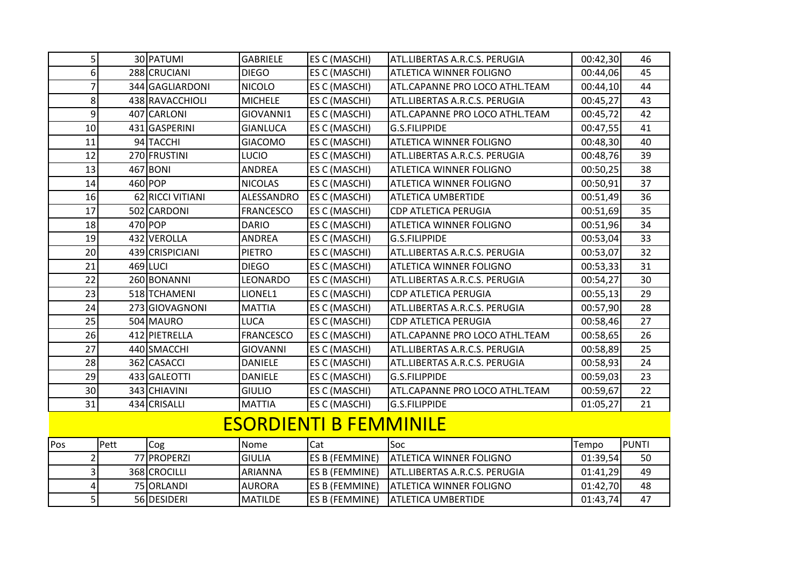| 5   |      | 30 PATUMI        | <b>GABRIELE</b>  | <b>ES C (MASCHI)</b>          | ATL.LIBERTAS A.R.C.S. PERUGIA  | 00:42,30 | 46           |
|-----|------|------------------|------------------|-------------------------------|--------------------------------|----------|--------------|
| 6   |      | 288 CRUCIANI     | <b>DIEGO</b>     | ES C (MASCHI)                 | <b>ATLETICA WINNER FOLIGNO</b> | 00:44,06 | 45           |
| 7   |      | 344 GAGLIARDONI  | <b>NICOLO</b>    | ES C (MASCHI)                 | ATL.CAPANNE PRO LOCO ATHL.TEAM | 00:44,10 | 44           |
| 8   |      | 438 RAVACCHIOLI  | <b>MICHELE</b>   | ES C (MASCHI)                 | ATL.LIBERTAS A.R.C.S. PERUGIA  | 00:45,27 | 43           |
| 9   |      | 407 CARLONI      | GIOVANNI1        | ES C (MASCHI)                 | ATL.CAPANNE PRO LOCO ATHL.TEAM | 00:45,72 | 42           |
| 10  |      | 431 GASPERINI    | <b>GIANLUCA</b>  | ES C (MASCHI)                 | <b>G.S.FILIPPIDE</b>           | 00:47,55 | 41           |
| 11  |      | 94 TACCHI        | <b>GIACOMO</b>   | ES C (MASCHI)                 | <b>ATLETICA WINNER FOLIGNO</b> | 00:48,30 | 40           |
| 12  |      | 270 FRUSTINI     | <b>LUCIO</b>     | ES C (MASCHI)                 | ATL.LIBERTAS A.R.C.S. PERUGIA  | 00:48,76 | 39           |
| 13  |      | 467 BONI         | <b>ANDREA</b>    | ES C (MASCHI)                 | <b>ATLETICA WINNER FOLIGNO</b> | 00:50,25 | 38           |
| 14  |      | 460 POP          | <b>NICOLAS</b>   | ES C (MASCHI)                 | <b>ATLETICA WINNER FOLIGNO</b> | 00:50,91 | 37           |
| 16  |      | 62 RICCI VITIANI | ALESSANDRO       | <b>ES C (MASCHI)</b>          | <b>ATLETICA UMBERTIDE</b>      | 00:51,49 | 36           |
| 17  |      | 502 CARDONI      | <b>FRANCESCO</b> | ES C (MASCHI)                 | <b>CDP ATLETICA PERUGIA</b>    | 00:51,69 | 35           |
| 18  |      | $470$ POP        | <b>DARIO</b>     | ES C (MASCHI)                 | <b>ATLETICA WINNER FOLIGNO</b> | 00:51,96 | 34           |
| 19  |      | 432 VEROLLA      | <b>ANDREA</b>    | ES C (MASCHI)                 | <b>G.S.FILIPPIDE</b>           | 00:53,04 | 33           |
| 20  |      | 439 CRISPICIANI  | <b>PIETRO</b>    | ES C (MASCHI)                 | ATL.LIBERTAS A.R.C.S. PERUGIA  | 00:53,07 | 32           |
| 21  |      | 469 LUCI         | <b>DIEGO</b>     | ES C (MASCHI)                 | <b>ATLETICA WINNER FOLIGNO</b> | 00:53,33 | 31           |
| 22  |      | 260 BONANNI      | LEONARDO         | ES C (MASCHI)                 | ATL.LIBERTAS A.R.C.S. PERUGIA  | 00:54,27 | 30           |
| 23  |      | 518 TCHAMENI     | LIONEL1          | ES C (MASCHI)                 | <b>CDP ATLETICA PERUGIA</b>    | 00:55,13 | 29           |
| 24  |      | 273 GIOVAGNONI   | <b>MATTIA</b>    | ES C (MASCHI)                 | ATL.LIBERTAS A.R.C.S. PERUGIA  | 00:57,90 | 28           |
| 25  |      | 504 MAURO        | <b>LUCA</b>      | ES C (MASCHI)                 | <b>CDP ATLETICA PERUGIA</b>    | 00:58,46 | 27           |
| 26  |      | 412 PIETRELLA    | <b>FRANCESCO</b> | ES C (MASCHI)                 | ATL.CAPANNE PRO LOCO ATHL.TEAM | 00:58,65 | 26           |
| 27  |      | 440 SMACCHI      | <b>GIOVANNI</b>  | ES C (MASCHI)                 | ATL.LIBERTAS A.R.C.S. PERUGIA  | 00:58,89 | 25           |
| 28  |      | 362 CASACCI      | <b>DANIELE</b>   | ES C (MASCHI)                 | ATL.LIBERTAS A.R.C.S. PERUGIA  | 00:58,93 | 24           |
| 29  |      | 433 GALEOTTI     | <b>DANIELE</b>   | ES C (MASCHI)                 | <b>G.S.FILIPPIDE</b>           | 00:59,03 | 23           |
| 30  |      | 343 CHIAVINI     | <b>GIULIO</b>    | ES C (MASCHI)                 | ATL.CAPANNE PRO LOCO ATHL.TEAM | 00:59,67 | 22           |
| 31  |      | 434 CRISALLI     | <b>MATTIA</b>    | <b>ES C (MASCHI)</b>          | <b>G.S.FILIPPIDE</b>           | 01:05,27 | 21           |
|     |      |                  |                  | <b>ESORDIENTI B FEMMINILE</b> |                                |          |              |
| Pos | Pett | Cog              | Nome             | Cat                           | Soc                            | Tempo    | <b>PUNTI</b> |
| 2   |      | 77 PROPERZI      | <b>GIULIA</b>    | ES B (FEMMINE)                | <b>ATLETICA WINNER FOLIGNO</b> | 01:39,54 | 50           |
| 3   |      | 368 CROCILLI     | ARIANNA          | ES B (FEMMINE)                | ATL.LIBERTAS A.R.C.S. PERUGIA  | 01:41,29 | 49           |
| 4   |      | 75 ORLANDI       | <b>AURORA</b>    | ES B (FEMMINE)                | <b>ATLETICA WINNER FOLIGNO</b> | 01:42,70 | 48           |
| 5   |      | 56 DESIDERI      | <b>MATILDE</b>   | ES B (FEMMINE)                | <b>ATLETICA UMBERTIDE</b>      | 01:43,74 | 47           |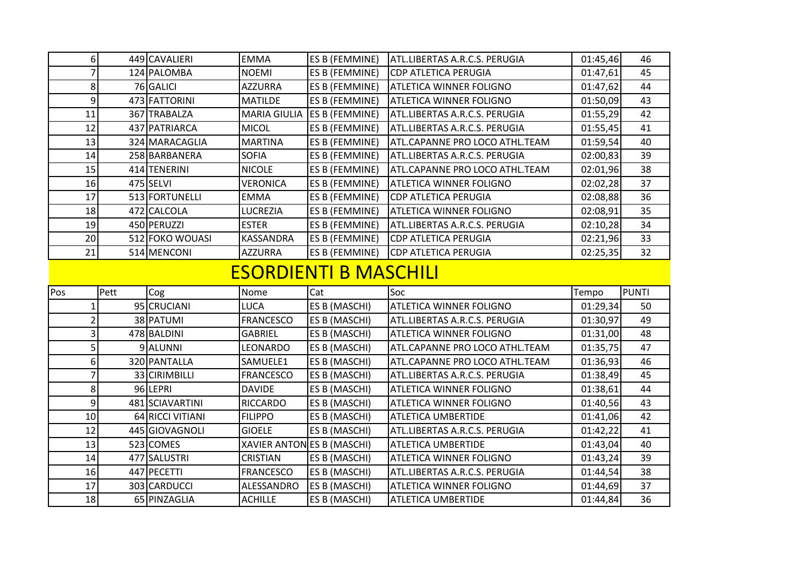|     | 6 <sup>1</sup>   |      | 449 CAVALIERI    | <b>EMMA</b>                | ES B (FEMMINE)               | ATL.LIBERTAS A.R.C.S. PERUGIA  | 01:45,46 | 46           |
|-----|------------------|------|------------------|----------------------------|------------------------------|--------------------------------|----------|--------------|
|     | $\overline{7}$   |      | 124 PALOMBA      | <b>NOEMI</b>               | ES B (FEMMINE)               | <b>CDP ATLETICA PERUGIA</b>    | 01:47,61 | 45           |
|     | 8                |      | 76 GALICI        | <b>AZZURRA</b>             | ES B (FEMMINE)               | ATLETICA WINNER FOLIGNO        | 01:47,62 | 44           |
|     | $\boldsymbol{9}$ |      | 473 FATTORINI    | <b>MATILDE</b>             | ES B (FEMMINE)               | <b>ATLETICA WINNER FOLIGNO</b> | 01:50,09 | 43           |
|     | 11               |      | 367 TRABALZA     | <b>MARIA GIULIA</b>        | <b>ES B (FEMMINE)</b>        | ATL.LIBERTAS A.R.C.S. PERUGIA  | 01:55,29 | 42           |
|     | 12               |      | 437 PATRIARCA    | <b>MICOL</b>               | ES B (FEMMINE)               | ATL.LIBERTAS A.R.C.S. PERUGIA  | 01:55,45 | 41           |
|     | 13               |      | 324 MARACAGLIA   | <b>MARTINA</b>             | ES B (FEMMINE)               | ATL.CAPANNE PRO LOCO ATHL.TEAM | 01:59,54 | 40           |
|     | 14               |      | 258 BARBANERA    | <b>SOFIA</b>               | ES B (FEMMINE)               | ATL.LIBERTAS A.R.C.S. PERUGIA  | 02:00,83 | 39           |
|     | 15               |      | 414 TENERINI     | <b>NICOLE</b>              | ES B (FEMMINE)               | ATL.CAPANNE PRO LOCO ATHL.TEAM | 02:01,96 | 38           |
|     | 16               |      | 475 SELVI        | <b>VERONICA</b>            | ES B (FEMMINE)               | <b>ATLETICA WINNER FOLIGNO</b> | 02:02,28 | 37           |
|     | 17               |      | 513 FORTUNELLI   | <b>EMMA</b>                | ES B (FEMMINE)               | <b>CDP ATLETICA PERUGIA</b>    | 02:08,88 | 36           |
|     | 18               |      | 472 CALCOLA      | <b>LUCREZIA</b>            | ES B (FEMMINE)               | <b>ATLETICA WINNER FOLIGNO</b> | 02:08,91 | 35           |
|     | 19               |      | 450 PERUZZI      | <b>ESTER</b>               | ES B (FEMMINE)               | ATL.LIBERTAS A.R.C.S. PERUGIA  | 02:10,28 | 34           |
|     | 20               |      | 512 FOKO WOUASI  | KASSANDRA                  | <b>ES B (FEMMINE)</b>        | <b>CDP ATLETICA PERUGIA</b>    | 02:21,96 | 33           |
|     | 21               |      | 514 MENCONI      | <b>AZZURRA</b>             | ES B (FEMMINE)               | <b>CDP ATLETICA PERUGIA</b>    | 02:25,35 | 32           |
|     |                  |      |                  |                            | <b>ESORDIENTI B MASCHILI</b> |                                |          |              |
|     |                  |      |                  |                            |                              |                                |          |              |
| Pos |                  | Pett | Cog              | Nome                       | Cat                          | Soc                            | Tempo    | <b>PUNTI</b> |
|     | 1                |      | 95 CRUCIANI      | <b>LUCA</b>                | ES B (MASCHI)                | <b>ATLETICA WINNER FOLIGNO</b> | 01:29,34 | 50           |
|     | $\overline{2}$   |      | 38 PATUMI        | <b>FRANCESCO</b>           | ES B (MASCHI)                | ATL.LIBERTAS A.R.C.S. PERUGIA  | 01:30,97 | 49           |
|     | 3                |      | 478 BALDINI      | <b>GABRIEL</b>             | ES B (MASCHI)                | <b>ATLETICA WINNER FOLIGNO</b> | 01:31,00 | 48           |
|     | 5                |      | 9 ALUNNI         | LEONARDO                   | <b>ES B (MASCHI)</b>         | ATL.CAPANNE PRO LOCO ATHL.TEAM | 01:35,75 | 47           |
|     | 6                |      | 320 PANTALLA     | SAMUELE1                   | <b>ES B (MASCHI)</b>         | ATL.CAPANNE PRO LOCO ATHL.TEAM | 01:36,93 | 46           |
|     | 7                |      | 33 CIRIMBILLI    | <b>FRANCESCO</b>           | ES B (MASCHI)                | ATL.LIBERTAS A.R.C.S. PERUGIA  | 01:38,49 | 45           |
|     | 8                |      | 96 LEPRI         | <b>DAVIDE</b>              | ES B (MASCHI)                | <b>ATLETICA WINNER FOLIGNO</b> | 01:38,61 | 44           |
|     | 9                |      | 481 SCIAVARTINI  | <b>RICCARDO</b>            | ES B (MASCHI)                | <b>ATLETICA WINNER FOLIGNO</b> | 01:40,56 | 43           |
|     | 10               |      | 64 RICCI VITIANI | <b>FILIPPO</b>             | ES B (MASCHI)                | ATLETICA UMBERTIDE             | 01:41,06 | 42           |
|     | 12               |      | 445 GIOVAGNOLI   | <b>GIOELE</b>              | ES B (MASCHI)                | ATL.LIBERTAS A.R.C.S. PERUGIA  | 01:42,22 | 41           |
|     | 13               |      | 523 COMES        | XAVIER ANTON ES B (MASCHI) |                              | <b>ATLETICA UMBERTIDE</b>      | 01:43,04 | 40           |
|     | 14               |      | 477 SALUSTRI     | <b>CRISTIAN</b>            | ES B (MASCHI)                | <b>ATLETICA WINNER FOLIGNO</b> | 01:43,24 | 39           |
|     | 16               |      | 447 PECETTI      | <b>FRANCESCO</b>           | ES B (MASCHI)                | ATL.LIBERTAS A.R.C.S. PERUGIA  | 01:44,54 | 38           |
|     | 17               |      | 303 CARDUCCI     | ALESSANDRO                 | <b>ES B (MASCHI)</b>         | <b>ATLETICA WINNER FOLIGNO</b> | 01:44,69 | 37           |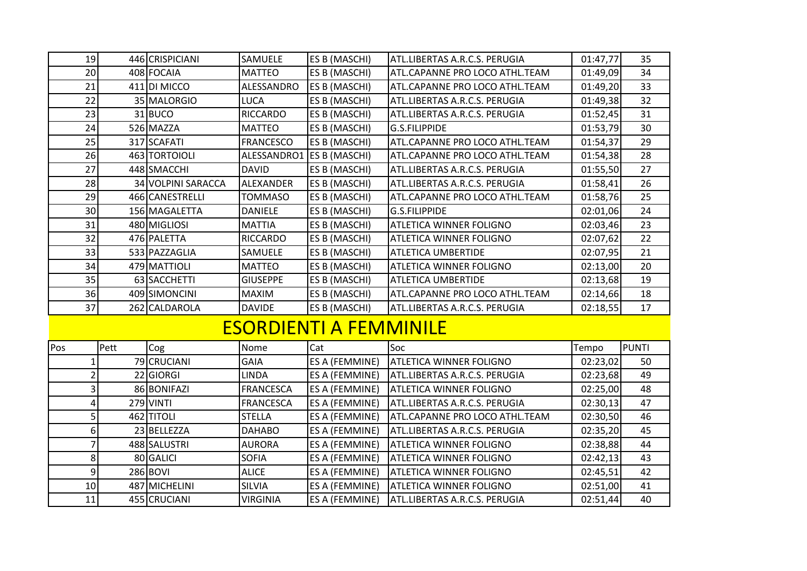|     | 19             | 446 CRISPICIANI    | SAMUELE                   | ES B (MASCHI)                 | ATL.LIBERTAS A.R.C.S. PERUGIA  | 01:47,77 | 35           |
|-----|----------------|--------------------|---------------------------|-------------------------------|--------------------------------|----------|--------------|
|     | 20             | 408 FOCAIA         | <b>MATTEO</b>             | ES B (MASCHI)                 | ATL.CAPANNE PRO LOCO ATHL.TEAM | 01:49,09 | 34           |
|     | 21             | 411 DI MICCO       | ALESSANDRO                | <b>ES B (MASCHI)</b>          | ATL.CAPANNE PRO LOCO ATHL.TEAM | 01:49,20 | 33           |
|     | 22             | 35 MALORGIO        | <b>LUCA</b>               | ES B (MASCHI)                 | ATL.LIBERTAS A.R.C.S. PERUGIA  | 01:49,38 | 32           |
|     | 23             | $31$ BUCO          | <b>RICCARDO</b>           | ES B (MASCHI)                 | ATL.LIBERTAS A.R.C.S. PERUGIA  | 01:52,45 | 31           |
|     | 24             | 526 MAZZA          | <b>MATTEO</b>             | ES B (MASCHI)                 | G.S.FILIPPIDE                  | 01:53,79 | 30           |
|     | 25             | 317 SCAFATI        | <b>FRANCESCO</b>          | ES B (MASCHI)                 | ATL.CAPANNE PRO LOCO ATHL.TEAM | 01:54,37 | 29           |
|     | 26             | 463 TORTOIOLI      | ALESSANDRO1 ES B (MASCHI) |                               | ATL.CAPANNE PRO LOCO ATHL.TEAM | 01:54,38 | 28           |
|     | 27             | 448 SMACCHI        | <b>DAVID</b>              | ES B (MASCHI)                 | ATL.LIBERTAS A.R.C.S. PERUGIA  | 01:55,50 | 27           |
|     | 28             | 34 VOLPINI SARACCA | ALEXANDER                 | ES B (MASCHI)                 | ATL.LIBERTAS A.R.C.S. PERUGIA  | 01:58,41 | 26           |
|     | 29             | 466 CANESTRELLI    | <b>TOMMASO</b>            | ES B (MASCHI)                 | ATL.CAPANNE PRO LOCO ATHL.TEAM | 01:58,76 | 25           |
|     | 30             | 156 MAGALETTA      | <b>DANIELE</b>            | ES B (MASCHI)                 | G.S.FILIPPIDE                  | 02:01,06 | 24           |
|     | 31             | 480 MIGLIOSI       | <b>MATTIA</b>             | ES B (MASCHI)                 | <b>ATLETICA WINNER FOLIGNO</b> | 02:03,46 | 23           |
|     | 32             | 476 PALETTA        | <b>RICCARDO</b>           | ES B (MASCHI)                 | <b>ATLETICA WINNER FOLIGNO</b> | 02:07,62 | 22           |
|     | 33             | 533 PAZZAGLIA      | SAMUELE                   | ES B (MASCHI)                 | <b>ATLETICA UMBERTIDE</b>      | 02:07,95 | 21           |
|     | 34             | 479 MATTIOLI       | <b>MATTEO</b>             | ES B (MASCHI)                 | ATLETICA WINNER FOLIGNO        | 02:13,00 | 20           |
|     | 35             | 63 SACCHETTI       | <b>GIUSEPPE</b>           | ES B (MASCHI)                 | <b>ATLETICA UMBERTIDE</b>      | 02:13,68 | 19           |
|     | 36             | 409 SIMONCINI      | <b>MAXIM</b>              | ES B (MASCHI)                 | ATL.CAPANNE PRO LOCO ATHL.TEAM | 02:14,66 | 18           |
|     | 37             | 262 CALDAROLA      | <b>DAVIDE</b>             | ES B (MASCHI)                 | ATL.LIBERTAS A.R.C.S. PERUGIA  | 02:18,55 | 17           |
|     |                |                    |                           | <b>ESORDIENTI A FEMMINILE</b> |                                |          |              |
| Pos | Pett           | Cog                | Nome                      | Cat                           | Soc                            | Tempo    | <b>PUNTI</b> |
|     | $\overline{1}$ | 79 CRUCIANI        | <b>GAIA</b>               | ES A (FEMMINE)                | <b>ATLETICA WINNER FOLIGNO</b> | 02:23,02 | 50           |
|     | $\overline{2}$ | 22 GIORGI          | <b>LINDA</b>              | ES A (FEMMINE)                | ATL.LIBERTAS A.R.C.S. PERUGIA  | 02:23,68 | 49           |
|     | 3              | 86 BONIFAZI        | <b>FRANCESCA</b>          | <b>ES A (FEMMINE)</b>         | <b>ATLETICA WINNER FOLIGNO</b> | 02:25,00 | 48           |
|     | 4              | 279 VINTI          | <b>FRANCESCA</b>          | ES A (FEMMINE)                | ATL.LIBERTAS A.R.C.S. PERUGIA  | 02:30,13 | 47           |
|     | 5              | 462 TITOLI         | <b>STELLA</b>             | ES A (FEMMINE)                | ATL.CAPANNE PRO LOCO ATHL.TEAM | 02:30,50 | 46           |
|     | 6              | 23 BELLEZZA        | <b>DAHABO</b>             | ES A (FEMMINE)                | ATL.LIBERTAS A.R.C.S. PERUGIA  | 02:35,20 | 45           |
|     | $\overline{7}$ | 488 SALUSTRI       | <b>AURORA</b>             | <b>ES A (FEMMINE)</b>         | <b>ATLETICA WINNER FOLIGNO</b> | 02:38,88 | 44           |
|     | 8              | 80 GALICI          | <b>SOFIA</b>              | ES A (FEMMINE)                | <b>ATLETICA WINNER FOLIGNO</b> | 02:42,13 | 43           |
|     | 9              | 286 BOVI           | <b>ALICE</b>              | ES A (FEMMINE)                | <b>ATLETICA WINNER FOLIGNO</b> | 02:45,51 | 42           |
|     | 10             | 487 MICHELINI      | <b>SILVIA</b>             | ES A (FEMMINE)                | <b>ATLETICA WINNER FOLIGNO</b> | 02:51,00 | 41           |
|     | 11             | 455 CRUCIANI       | <b>VIRGINIA</b>           | ES A (FEMMINE)                | ATL.LIBERTAS A.R.C.S. PERUGIA  | 02:51,44 | 40           |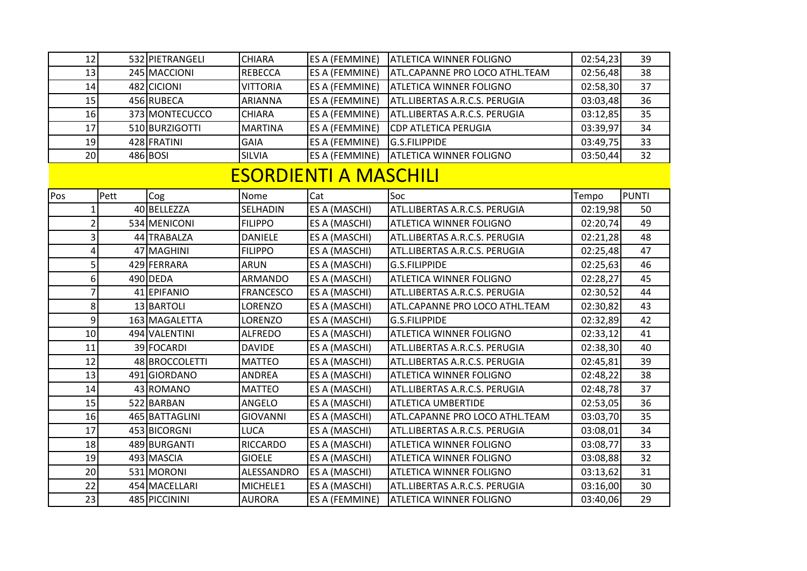|     | 12             |      | 532 PIETRANGELI | <b>CHIARA</b>    | ES A (FEMMINE)               | <b>ATLETICA WINNER FOLIGNO</b> | 02:54,23 | 39           |
|-----|----------------|------|-----------------|------------------|------------------------------|--------------------------------|----------|--------------|
|     | 13             |      | 245 MACCIONI    | <b>REBECCA</b>   | ES A (FEMMINE)               | ATL.CAPANNE PRO LOCO ATHL.TEAM | 02:56,48 | 38           |
|     | 14             |      | 482 CICIONI     | <b>VITTORIA</b>  | ES A (FEMMINE)               | <b>ATLETICA WINNER FOLIGNO</b> | 02:58,30 | 37           |
|     | 15             |      | 456 RUBECA      | <b>ARIANNA</b>   | ES A (FEMMINE)               | ATL.LIBERTAS A.R.C.S. PERUGIA  | 03:03,48 | 36           |
|     | 16             |      | 373 MONTECUCCO  | <b>CHIARA</b>    | ES A (FEMMINE)               | ATL.LIBERTAS A.R.C.S. PERUGIA  | 03:12,85 | 35           |
|     | 17             |      | 510 BURZIGOTTI  | <b>MARTINA</b>   | ES A (FEMMINE)               | CDP ATLETICA PERUGIA           | 03:39,97 | 34           |
|     | 19             |      | 428 FRATINI     | <b>GAIA</b>      | ES A (FEMMINE)               | <b>G.S.FILIPPIDE</b>           | 03:49,75 | 33           |
|     | 20             |      | 486 BOSI        | <b>SILVIA</b>    | ES A (FEMMINE)               | <b>ATLETICA WINNER FOLIGNO</b> | 03:50,44 | 32           |
|     |                |      |                 |                  | <b>ESORDIENTI A MASCHILI</b> |                                |          |              |
| Pos |                | Pett | Cog             | Nome             | Cat                          | Soc                            | Tempo    | <b>PUNTI</b> |
|     | $\mathbf{1}$   |      | 40 BELLEZZA     | <b>SELHADIN</b>  | ES A (MASCHI)                | ATL.LIBERTAS A.R.C.S. PERUGIA  | 02:19,98 | 50           |
|     | $\overline{c}$ |      | 534 MENICONI    | <b>FILIPPO</b>   | ES A (MASCHI)                | <b>ATLETICA WINNER FOLIGNO</b> | 02:20,74 | 49           |
|     | 3              |      | 44 TRABALZA     | <b>DANIELE</b>   | ES A (MASCHI)                | ATL.LIBERTAS A.R.C.S. PERUGIA  | 02:21,28 | 48           |
|     | 4              |      | 47 MAGHINI      | <b>FILIPPO</b>   | ES A (MASCHI)                | ATL.LIBERTAS A.R.C.S. PERUGIA  | 02:25,48 | 47           |
|     | 5              |      | 429 FERRARA     | <b>ARUN</b>      | ES A (MASCHI)                | <b>G.S.FILIPPIDE</b>           | 02:25,63 | 46           |
|     | 6              |      | 490 DEDA        | <b>ARMANDO</b>   | ES A (MASCHI)                | <b>ATLETICA WINNER FOLIGNO</b> | 02:28,27 | 45           |
|     | $\overline{7}$ |      | 41 EPIFANIO     | <b>FRANCESCO</b> | ES A (MASCHI)                | ATL.LIBERTAS A.R.C.S. PERUGIA  | 02:30,52 | 44           |
|     | 8              |      | 13 BARTOLI      | LORENZO          | ES A (MASCHI)                | ATL.CAPANNE PRO LOCO ATHL.TEAM | 02:30,82 | 43           |
|     | 9              |      | 163 MAGALETTA   | LORENZO          | ES A (MASCHI)                | <b>G.S.FILIPPIDE</b>           | 02:32,89 | 42           |
|     | 10             |      | 494 VALENTINI   | <b>ALFREDO</b>   | ES A (MASCHI)                | <b>ATLETICA WINNER FOLIGNO</b> | 02:33,12 | 41           |
|     | 11             |      | 39 FOCARDI      | <b>DAVIDE</b>    | ES A (MASCHI)                | ATL.LIBERTAS A.R.C.S. PERUGIA  | 02:38,30 | 40           |
|     | 12             |      | 48 BROCCOLETTI  | <b>MATTEO</b>    | ES A (MASCHI)                | ATL.LIBERTAS A.R.C.S. PERUGIA  | 02:45,81 | 39           |
|     | 13             |      | 491 GIORDANO    | <b>ANDREA</b>    | ES A (MASCHI)                | <b>ATLETICA WINNER FOLIGNO</b> | 02:48,22 | 38           |
|     | 14             |      | 43 ROMANO       | <b>MATTEO</b>    | ES A (MASCHI)                | ATL.LIBERTAS A.R.C.S. PERUGIA  | 02:48,78 | 37           |
|     | 15             |      | 522 BARBAN      | <b>ANGELO</b>    | ES A (MASCHI)                | <b>ATLETICA UMBERTIDE</b>      | 02:53,05 | 36           |
|     | 16             |      | 465 BATTAGLINI  | <b>GIOVANNI</b>  | ES A (MASCHI)                | ATL.CAPANNE PRO LOCO ATHL.TEAM | 03:03,70 | 35           |
|     | 17             |      | 453 BICORGNI    | <b>LUCA</b>      | ES A (MASCHI)                | ATL.LIBERTAS A.R.C.S. PERUGIA  | 03:08,01 | 34           |
|     | 18             |      | 489 BURGANTI    | <b>RICCARDO</b>  | ES A (MASCHI)                | <b>ATLETICA WINNER FOLIGNO</b> | 03:08,77 | 33           |
|     | 19             |      | 493 MASCIA      | <b>GIOELE</b>    | ES A (MASCHI)                | <b>ATLETICA WINNER FOLIGNO</b> | 03:08,88 | 32           |
|     | 20             |      | 531 MORONI      | ALESSANDRO       | <b>ES A (MASCHI)</b>         | ATLETICA WINNER FOLIGNO        | 03:13,62 | 31           |
|     | 22             |      | 454 MACELLARI   | MICHELE1         | ES A (MASCHI)                | ATL.LIBERTAS A.R.C.S. PERUGIA  | 03:16,00 | 30           |
|     | 23             |      | 485 PICCININI   | <b>AURORA</b>    | ES A (FEMMINE)               | <b>ATLETICA WINNER FOLIGNO</b> | 03:40,06 | 29           |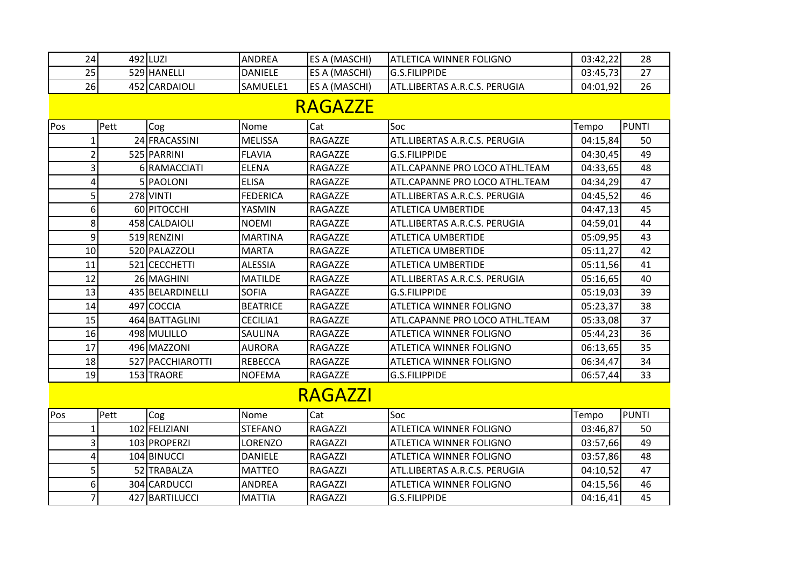| 24             |      | 492 LUZI                        | <b>ANDREA</b>                   | ES A (MASCHI)      | <b>ATLETICA WINNER FOLIGNO</b>                             | 03:42,22             | 28           |
|----------------|------|---------------------------------|---------------------------------|--------------------|------------------------------------------------------------|----------------------|--------------|
| 25             |      | 529 HANELLI                     | <b>DANIELE</b>                  | ES A (MASCHI)      | <b>G.S.FILIPPIDE</b>                                       | 03:45,73             | 27           |
| 26             |      | 452 CARDAIOLI                   | SAMUELE1                        | ES A (MASCHI)      | ATL.LIBERTAS A.R.C.S. PERUGIA                              | 04:01,92             | 26           |
|                |      |                                 |                                 | <b>RAGAZZE</b>     |                                                            |                      |              |
|                |      |                                 |                                 |                    |                                                            |                      |              |
| Pos            | Pett | Cog                             | Nome                            | Cat                | Soc<br>ATL.LIBERTAS A.R.C.S. PERUGIA                       | Tempo                | <b>PUNTI</b> |
| 1              |      | 24 FRACASSINI<br>525 PARRINI    | <b>MELISSA</b>                  | RAGAZZE            |                                                            | 04:15,84             | 50           |
| $\overline{2}$ |      |                                 | <b>FLAVIA</b><br><b>ELENA</b>   | RAGAZZE            | <b>G.S.FILIPPIDE</b><br>ATL.CAPANNE PRO LOCO ATHL.TEAM     | 04:30,45             | 49<br>48     |
| 3              |      | 6 RAMACCIATI<br>5 PAOLONI       |                                 | RAGAZZE<br>RAGAZZE | ATL.CAPANNE PRO LOCO ATHL.TEAM                             | 04:33,65             | 47           |
| 4<br>5         |      |                                 | <b>ELISA</b><br><b>FEDERICA</b> |                    | ATL.LIBERTAS A.R.C.S. PERUGIA                              | 04:34,29             | 46           |
|                |      | <b>278 VINTI</b><br>60 PITOCCHI |                                 | RAGAZZE            |                                                            | 04:45,52             | 45           |
| 6<br>8         |      | 458 CALDAIOLI                   | YASMIN<br><b>NOEMI</b>          | RAGAZZE<br>RAGAZZE | <b>ATLETICA UMBERTIDE</b><br>ATL.LIBERTAS A.R.C.S. PERUGIA | 04:47,13<br>04:59,01 | 44           |
| 9              |      | 519 RENZINI                     | <b>MARTINA</b>                  | RAGAZZE            | <b>ATLETICA UMBERTIDE</b>                                  | 05:09,95             | 43           |
| 10             |      | 520 PALAZZOLI                   | <b>MARTA</b>                    | RAGAZZE            | ATLETICA UMBERTIDE                                         | 05:11,27             | 42           |
| 11             |      | 521 CECCHETTI                   | <b>ALESSIA</b>                  | RAGAZZE            | ATLETICA UMBERTIDE                                         | 05:11,56             | 41           |
| 12             |      | 26 MAGHINI                      | <b>MATILDE</b>                  | RAGAZZE            | ATL.LIBERTAS A.R.C.S. PERUGIA                              | 05:16,65             | 40           |
| 13             |      | 435 BELARDINELLI                | <b>SOFIA</b>                    | RAGAZZE            | G.S.FILIPPIDE                                              | 05:19,03             | 39           |
| 14             |      | 497 COCCIA                      | <b>BEATRICE</b>                 | RAGAZZE            | ATLETICA WINNER FOLIGNO                                    | 05:23,37             | 38           |
| 15             |      | 464 BATTAGLINI                  | CECILIA1                        | RAGAZZE            | ATL.CAPANNE PRO LOCO ATHL.TEAM                             | 05:33,08             | 37           |
| 16             |      | 498 MULILLO                     | SAULINA                         | RAGAZZE            | <b>ATLETICA WINNER FOLIGNO</b>                             | 05:44,23             | 36           |
| 17             |      | 496 MAZZONI                     | <b>AURORA</b>                   | RAGAZZE            | <b>ATLETICA WINNER FOLIGNO</b>                             | 06:13,65             | 35           |
| 18             |      | 527 PACCHIAROTTI                | <b>REBECCA</b>                  | RAGAZZE            | ATLETICA WINNER FOLIGNO                                    | 06:34,47             | 34           |
| 19             |      | 153 TRAORE                      | <b>NOFEMA</b>                   | RAGAZZE            | <b>G.S.FILIPPIDE</b>                                       | 06:57,44             | 33           |
|                |      |                                 |                                 |                    |                                                            |                      |              |
|                |      |                                 |                                 | <b>RAGAZZI</b>     |                                                            |                      |              |
| Pos            | Pett | Cog                             | Nome                            | Cat                | Soc                                                        | Tempo                | PUNTI        |
| 1              |      | 102 FELIZIANI                   | <b>STEFANO</b>                  | <b>RAGAZZI</b>     | ATLETICA WINNER FOLIGNO                                    | 03:46,87             | 50           |
| 3              |      | 103 PROPERZI                    | LORENZO                         | <b>RAGAZZI</b>     | <b>ATLETICA WINNER FOLIGNO</b>                             | 03:57,66             | 49           |
| 4              |      | 104 BINUCCI                     | <b>DANIELE</b>                  | <b>RAGAZZI</b>     | ATLETICA WINNER FOLIGNO                                    | 03:57,86             | 48           |
| 5              |      | 52 TRABALZA                     | <b>MATTEO</b>                   | <b>RAGAZZI</b>     | ATL.LIBERTAS A.R.C.S. PERUGIA                              | 04:10,52             | 47           |
| 6              |      | 304 CARDUCCI                    | <b>ANDREA</b>                   | RAGAZZI            | ATLETICA WINNER FOLIGNO                                    | 04:15,56             | 46           |
| $\overline{7}$ |      | 427 BARTILUCCI                  | MATTIA                          | <b>RAGAZZI</b>     | G.S.FILIPPIDE                                              | 04:16,41             | 45           |
|                |      |                                 |                                 |                    |                                                            |                      |              |